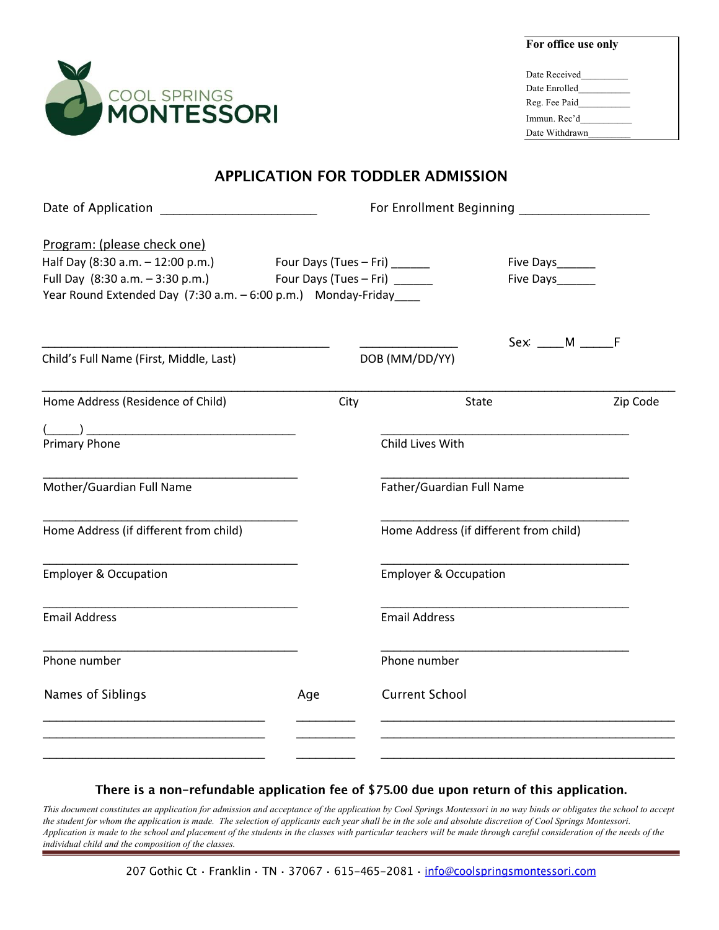

| For office use only |  |
|---------------------|--|
| Date Received       |  |
| Date Enrolled       |  |
| Reg. Fee Paid       |  |
| Immun. Rec'd        |  |
| Date Withdrawn      |  |

## **APPLICATION FOR TODDLER ADMISSION**

| Date of Application <b>Example 20</b>                                                                                                                                                                                                                                                                                     |      | For Enrollment Beginning For Enrolment Beginning |                                        |          |
|---------------------------------------------------------------------------------------------------------------------------------------------------------------------------------------------------------------------------------------------------------------------------------------------------------------------------|------|--------------------------------------------------|----------------------------------------|----------|
| Program: (please check one)<br>Half Day (8:30 a.m. - 12:00 p.m.) Four Days (Tues - Fri) ______<br>Full Day $(8.30 \text{ a.m.} - 3.30 \text{ p.m.})$ Four Days $(Tues - Fri)$<br>Year Round Extended Day (7:30 a.m. - 6:00 p.m.) Monday-Friday                                                                            |      |                                                  | Five Days_______<br>Five Days          |          |
| Child's Full Name (First, Middle, Last)                                                                                                                                                                                                                                                                                   |      | DOB (MM/DD/YY)                                   | $Sex \_\_\_M \_\_\_F$                  |          |
| Home Address (Residence of Child)                                                                                                                                                                                                                                                                                         | City |                                                  | State                                  | Zip Code |
| $\hspace{0.1cm}$ ) $\hspace{0.1cm}$ $\hspace{0.1cm}$ $\hspace{0.1cm}$ $\hspace{0.1cm}$ $\hspace{0.1cm}$ $\hspace{0.1cm}$ $\hspace{0.1cm}$ $\hspace{0.1cm}$ $\hspace{0.1cm}$ $\hspace{0.1cm}$ $\hspace{0.1cm}$ $\hspace{0.1cm}$ $\hspace{0.1cm}$ $\hspace{0.1cm}$ $\hspace{0.1cm}$ $\hspace{0.1cm}$ $\hspace{0.1cm}$ $\hs$ |      |                                                  |                                        |          |
| <b>Primary Phone</b>                                                                                                                                                                                                                                                                                                      |      | Child Lives With                                 |                                        |          |
| Mother/Guardian Full Name                                                                                                                                                                                                                                                                                                 |      | Father/Guardian Full Name                        |                                        |          |
| Home Address (if different from child)                                                                                                                                                                                                                                                                                    |      |                                                  | Home Address (if different from child) |          |
| <b>Employer &amp; Occupation</b>                                                                                                                                                                                                                                                                                          |      | <b>Employer &amp; Occupation</b>                 |                                        |          |
| <b>Email Address</b>                                                                                                                                                                                                                                                                                                      |      | <b>Email Address</b>                             |                                        |          |
| Phone number                                                                                                                                                                                                                                                                                                              |      | Phone number                                     |                                        |          |
| Names of Siblings                                                                                                                                                                                                                                                                                                         | Age  | <b>Current School</b>                            |                                        |          |
|                                                                                                                                                                                                                                                                                                                           |      |                                                  |                                        |          |

## There is a non-refundable application fee of \$75.00 due upon return of this application.

*This document constitutes an application for admission and acceptance of the application by Cool Springs Montessori in no way binds or obligates the school to accept the student for whom the application is made. The selection of applicants each year shall be in the sole and absolute discretion of Cool Springs Montessori. Application is made to the school and placement of the students in the classes with particular teachers will be made through careful consideration of the needs of the individual child and the composition of the classes.* 

207 Gothic Ct · Franklin · TN · 37067 · 615-465-2081 · info@coolspringsmontessori.com